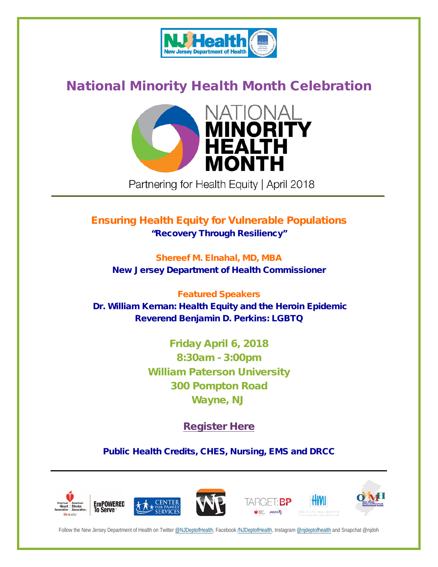

## National Minority Health Month Celebration



Partnering for Health Equity | April 2018 **\_\_\_\_\_\_\_\_\_\_\_\_\_\_\_\_\_\_\_\_\_\_\_\_\_\_\_\_\_\_\_\_\_\_\_\_\_\_\_\_\_\_\_\_\_\_\_\_\_\_\_\_\_\_\_\_\_\_\_\_\_\_\_\_\_\_\_\_\_\_\_\_\_\_\_\_\_\_\_\_\_\_\_\_\_\_\_\_\_\_\_\_\_\_\_\_\_\_\_\_\_\_\_\_\_\_\_\_\_\_\_\_\_\_\_\_\_\_\_\_\_\_\_\_\_\_\_\_\_\_\_\_\_**

# Ensuring Health Equity for Vulnerable Populations

"Recovery Through Resiliency"

Shereef M. Elnahal, MD, MBA New Jersey Department of Health Commissioner

## Featured Speakers

Dr. William Kernan: Health Equity and the Heroin Epidemic Reverend Benjamin D. Perkins: LGBTQ

> Friday April 6, 2018 8:30am - 3:00pm William Paterson University 300 Pompton Road Wayne, NJ

> > [Register](http://healthsurveys.nj.gov/NoviSurvey/n/nmhm41618.aspx) Here

Public Health Credits, CHES, Nursing, EMS and DRCC



Follow the New Jersey Department of Health on Twitte[r @NJDeptofHealth,](https://twitter.com/NJDeptofHealth) Facebook [/NJDeptofHealth,](https://www.facebook.com/NJDeptofHealth/) Instagra[m @njdeptofhealth](https://www.instagram.com/NJDeptofHealth/) and Snapchat @njdoh